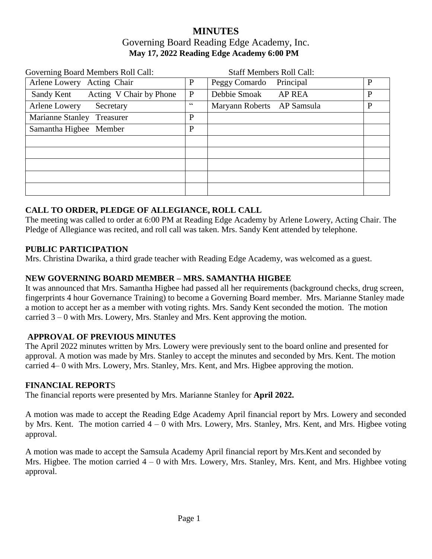# **MINUTES** Governing Board Reading Edge Academy, Inc. **May 17, 2022 Reading Edge Academy 6:00 PM**

| Governing Board Members Roll Call:    |              | <b>Staff Members Roll Call:</b> |              |
|---------------------------------------|--------------|---------------------------------|--------------|
| Arlene Lowery Acting Chair            | $\mathbf{P}$ | Peggy Comardo<br>Principal      | $\mathbf{P}$ |
| Acting V Chair by Phone<br>Sandy Kent | $\mathbf{P}$ | Debbie Smoak<br><b>AP REA</b>   | P            |
| Arlene Lowery<br>Secretary            | 66           | Maryann Roberts AP Samsula      | $\mathbf{P}$ |
| <b>Marianne Stanley</b><br>Treasurer  | $\mathbf{P}$ |                                 |              |
| Samantha Higbee Member                | $\mathbf{P}$ |                                 |              |
|                                       |              |                                 |              |
|                                       |              |                                 |              |
|                                       |              |                                 |              |
|                                       |              |                                 |              |
|                                       |              |                                 |              |

## **CALL TO ORDER, PLEDGE OF ALLEGIANCE, ROLL CALL**

The meeting was called to order at 6:00 PM at Reading Edge Academy by Arlene Lowery, Acting Chair. The Pledge of Allegiance was recited, and roll call was taken. Mrs. Sandy Kent attended by telephone.

### **PUBLIC PARTICIPATION**

Mrs. Christina Dwarika, a third grade teacher with Reading Edge Academy, was welcomed as a guest.

## **NEW GOVERNING BOARD MEMBER – MRS. SAMANTHA HIGBEE**

It was announced that Mrs. Samantha Higbee had passed all her requirements (background checks, drug screen, fingerprints 4 hour Governance Training) to become a Governing Board member. Mrs. Marianne Stanley made a motion to accept her as a member with voting rights. Mrs. Sandy Kent seconded the motion. The motion carried 3 – 0 with Mrs. Lowery, Mrs. Stanley and Mrs. Kent approving the motion.

## **APPROVAL OF PREVIOUS MINUTES**

The April 2022 minutes written by Mrs. Lowery were previously sent to the board online and presented for approval. A motion was made by Mrs. Stanley to accept the minutes and seconded by Mrs. Kent. The motion carried 4– 0 with Mrs. Lowery, Mrs. Stanley, Mrs. Kent, and Mrs. Higbee approving the motion.

### **FINANCIAL REPORT**S

The financial reports were presented by Mrs. Marianne Stanley for **April 2022.**

A motion was made to accept the Reading Edge Academy April financial report by Mrs. Lowery and seconded by Mrs. Kent. The motion carried 4 – 0 with Mrs. Lowery, Mrs. Stanley, Mrs. Kent, and Mrs. Higbee voting approval.

A motion was made to accept the Samsula Academy April financial report by Mrs.Kent and seconded by Mrs. Higbee. The motion carried 4 – 0 with Mrs. Lowery, Mrs. Stanley, Mrs. Kent, and Mrs. Highbee voting approval.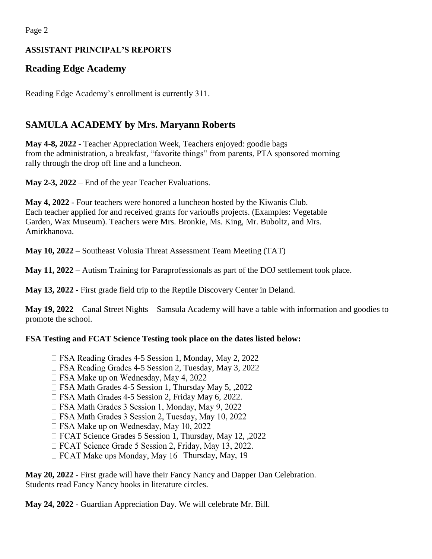Page 2

# **ASSISTANT PRINCIPAL'S REPORTS**

# **Reading Edge Academy**

Reading Edge Academy's enrollment is currently 311.

# **SAMULA ACADEMY by Mrs. Maryann Roberts**

**May 4-8, 2022** - Teacher Appreciation Week, Teachers enjoyed: goodie bags from the administration, a breakfast, "favorite things" from parents, PTA sponsored morning rally through the drop off line and a luncheon.

**May 2-3, 2022** – End of the year Teacher Evaluations.

**May 4, 2022** - Four teachers were honored a luncheon hosted by the Kiwanis Club. Each teacher applied for and received grants for variou8s projects. (Examples: Vegetable Garden, Wax Museum). Teachers were Mrs. Bronkie, Ms. King, Mr. Buboltz, and Mrs. Amirkhanova.

**May 10, 2022** – Southeast Volusia Threat Assessment Team Meeting (TAT)

**May 11, 2022** – Autism Training for Paraprofessionals as part of the DOJ settlement took place.

**May 13, 2022** - First grade field trip to the Reptile Discovery Center in Deland.

**May 19, 2022** – Canal Street Nights – Samsula Academy will have a table with information and goodies to promote the school.

# **FSA Testing and FCAT Science Testing took place on the dates listed below:**

- □ FSA Reading Grades 4-5 Session 1, Monday, May 2, 2022
- □ FSA Reading Grades 4-5 Session 2, Tuesday, May 3, 2022
- $\Box$  FSA Make up on Wednesday, May 4, 2022
- □ FSA Math Grades 4-5 Session 1, Thursday May 5, ,2022
- □ FSA Math Grades 4-5 Session 2, Friday May 6, 2022.
- □ FSA Math Grades 3 Session 1, Monday, May 9, 2022
- □ FSA Math Grades 3 Session 2, Tuesday, May 10, 2022
- $\Box$  FSA Make up on Wednesday, May 10, 2022
- □ FCAT Science Grades 5 Session 1, Thursday, May 12, ,2022
- □ FCAT Science Grade 5 Session 2, Friday, May 13, 2022.
- $\Box$  FCAT Make ups Monday, May 16 Thursday, May, 19

**May 20, 2022** - First grade will have their Fancy Nancy and Dapper Dan Celebration. Students read Fancy Nancy books in literature circles.

**May 24, 2022** - Guardian Appreciation Day. We will celebrate Mr. Bill.